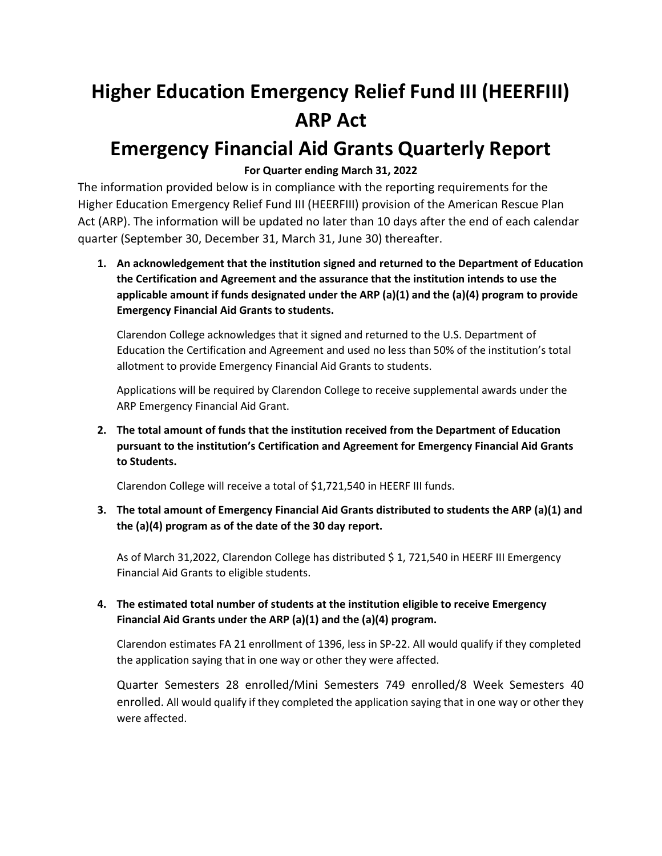# **Higher Education Emergency Relief Fund III (HEERFIII) ARP Act**

# **Emergency Financial Aid Grants Quarterly Report**

# **For Quarter ending March 31, 2022**

The information provided below is in compliance with the reporting requirements for the Higher Education Emergency Relief Fund III (HEERFIII) provision of the American Rescue Plan Act (ARP). The information will be updated no later than 10 days after the end of each calendar quarter (September 30, December 31, March 31, June 30) thereafter.

**1. An acknowledgement that the institution signed and returned to the Department of Education the Certification and Agreement and the assurance that the institution intends to use the applicable amount if funds designated under the ARP (a)(1) and the (a)(4) program to provide Emergency Financial Aid Grants to students.**

Clarendon College acknowledges that it signed and returned to the U.S. Department of Education the Certification and Agreement and used no less than 50% of the institution's total allotment to provide Emergency Financial Aid Grants to students.

Applications will be required by Clarendon College to receive supplemental awards under the ARP Emergency Financial Aid Grant.

**2. The total amount of funds that the institution received from the Department of Education pursuant to the institution's Certification and Agreement for Emergency Financial Aid Grants to Students.** 

Clarendon College will receive a total of \$1,721,540 in HEERF III funds.

**3. The total amount of Emergency Financial Aid Grants distributed to students the ARP (a)(1) and the (a)(4) program as of the date of the 30 day report.**

As of March 31,2022, Clarendon College has distributed \$ 1, 721,540 in HEERF III Emergency Financial Aid Grants to eligible students.

# **4. The estimated total number of students at the institution eligible to receive Emergency Financial Aid Grants under the ARP (a)(1) and the (a)(4) program.**

Clarendon estimates FA 21 enrollment of 1396, less in SP-22. All would qualify if they completed the application saying that in one way or other they were affected.

Quarter Semesters 28 enrolled/Mini Semesters 749 enrolled/8 Week Semesters 40 enrolled. All would qualify if they completed the application saying that in one way or other they were affected.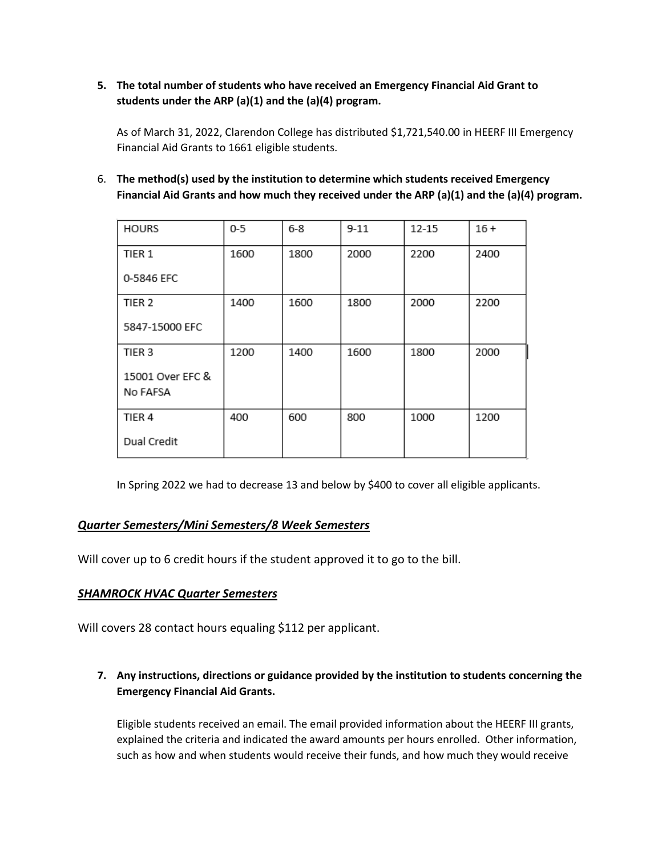**5. The total number of students who have received an Emergency Financial Aid Grant to students under the ARP (a)(1) and the (a)(4) program.**

As of March 31, 2022, Clarendon College has distributed \$1,721,540.00 in HEERF III Emergency Financial Aid Grants to 1661 eligible students.

6. **The method(s) used by the institution to determine which students received Emergency Financial Aid Grants and how much they received under the ARP (a)(1) and the (a)(4) program.**

| <b>HOURS</b>      | $0-5$ | $6 - 8$ | $9 - 11$ | 12-15 | $16 +$ |
|-------------------|-------|---------|----------|-------|--------|
| TIER 1            | 1600  | 1800    | 2000     | 2200  | 2400   |
| 0-5846 EFC        |       |         |          |       |        |
| TIER <sub>2</sub> | 1400  | 1600    | 1800     | 2000  | 2200   |
| 5847-15000 EFC    |       |         |          |       |        |
| TIER 3            | 1200  | 1400    | 1600     | 1800  | 2000   |
| 15001 Over EFC &  |       |         |          |       |        |
| No FAFSA          |       |         |          |       |        |
| TIER <sub>4</sub> | 400   | 600     | 800      | 1000  | 1200   |
| Dual Credit       |       |         |          |       |        |

In Spring 2022 we had to decrease 13 and below by \$400 to cover all eligible applicants.

# *Quarter Semesters/Mini Semesters/8 Week Semesters*

Will cover up to 6 credit hours if the student approved it to go to the bill.

# *SHAMROCK HVAC Quarter Semesters*

Will covers 28 contact hours equaling \$112 per applicant.

**7. Any instructions, directions or guidance provided by the institution to students concerning the Emergency Financial Aid Grants.** 

Eligible students received an email. The email provided information about the HEERF III grants, explained the criteria and indicated the award amounts per hours enrolled. Other information, such as how and when students would receive their funds, and how much they would receive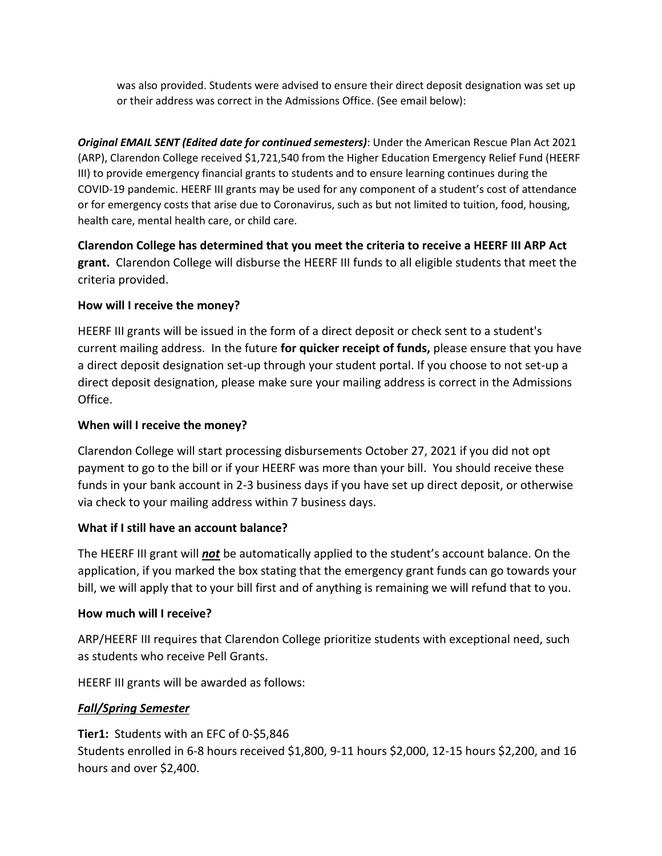was also provided. Students were advised to ensure their direct deposit designation was set up or their address was correct in the Admissions Office. (See email below):

*Original EMAIL SENT (Edited date for continued semesters)*: Under the American Rescue Plan Act 2021 (ARP), Clarendon College received \$1,721,540 from the Higher Education Emergency Relief Fund (HEERF III) to provide emergency financial grants to students and to ensure learning continues during the COVID-19 pandemic. HEERF III grants may be used for any component of a student's cost of attendance or for emergency costs that arise due to Coronavirus, such as but not limited to tuition, food, housing, health care, mental health care, or child care.

**Clarendon College has determined that you meet the criteria to receive a HEERF III ARP Act grant.** Clarendon College will disburse the HEERF III funds to all eligible students that meet the criteria provided.

# **How will I receive the money?**

HEERF III grants will be issued in the form of a direct deposit or check sent to a student's current mailing address. In the future **for quicker receipt of funds,** please ensure that you have a direct deposit designation set-up through your student portal. If you choose to not set-up a direct deposit designation, please make sure your mailing address is correct in the Admissions Office.

# **When will I receive the money?**

Clarendon College will start processing disbursements October 27, 2021 if you did not opt payment to go to the bill or if your HEERF was more than your bill. You should receive these funds in your bank account in 2-3 business days if you have set up direct deposit, or otherwise via check to your mailing address within 7 business days.

#### **What if I still have an account balance?**

The HEERF III grant will *not* be automatically applied to the student's account balance. On the application, if you marked the box stating that the emergency grant funds can go towards your bill, we will apply that to your bill first and of anything is remaining we will refund that to you.

#### **How much will I receive?**

ARP/HEERF III requires that Clarendon College prioritize students with exceptional need, such as students who receive Pell Grants.

HEERF III grants will be awarded as follows:

# *Fall/Spring Semester*

**Tier1:** Students with an EFC of 0-\$5,846 Students enrolled in 6-8 hours received \$1,800, 9-11 hours \$2,000, 12-15 hours \$2,200, and 16 hours and over \$2,400.